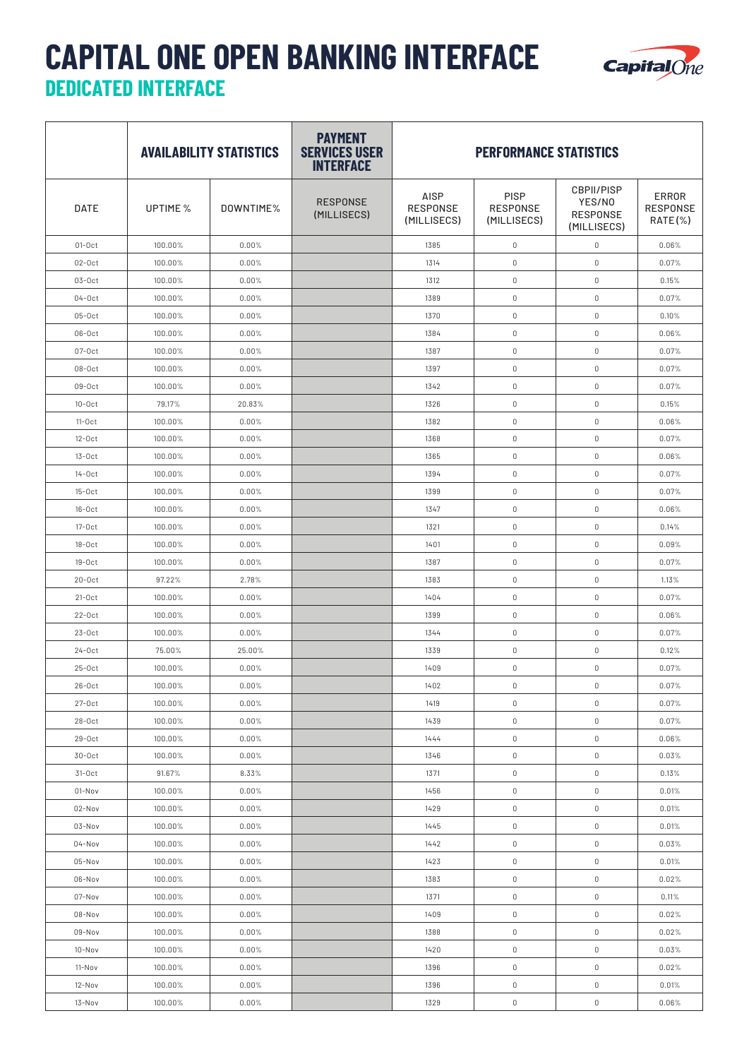## **CAPITAL ONE OPEN BANKING INTERFACE DEDICATED INTERFACE**



|             |          | <b>AVAILABILITY STATISTICS</b> | <b>PAYMENT</b><br><b>SERVICES USER</b><br><b>INTERFACE</b> | <b>PERFORMANCE STATISTICS</b>          |                                               |                                                               |                                 |  |
|-------------|----------|--------------------------------|------------------------------------------------------------|----------------------------------------|-----------------------------------------------|---------------------------------------------------------------|---------------------------------|--|
| <b>DATE</b> | UPTIME % | DOWNTIME%                      | <b>RESPONSE</b><br>(MILLISECS)                             | AISP<br><b>RESPONSE</b><br>(MILLISECS) | <b>PISP</b><br><b>RESPONSE</b><br>(MILLISECS) | <b>CBPII/PISP</b><br>YES/NO<br><b>RESPONSE</b><br>(MILLISECS) | ERROR<br>RESPONSE<br>$RATE(\%)$ |  |
| $01-0ct$    | 100.00%  | 0.00%                          |                                                            | 1385                                   | $\mathbb O$                                   | $\mathbb O$                                                   | 0.06%                           |  |
| $02-0ct$    | 100.00%  | 0.00%                          |                                                            | 1314                                   | $\mathbb O$                                   | $\mathbb O$                                                   | 0.07%                           |  |
| $03-0ct$    | 100.00%  | 0.00%                          |                                                            | 1312                                   | $\mathbb O$                                   | $\mathbb O$                                                   | 0.15%                           |  |
| $04-0ct$    | 100.00%  | 0.00%                          |                                                            | 1389                                   | $\mathbb O$                                   | $\mathbb O$                                                   | 0.07%                           |  |
| $05-0ct$    | 100.00%  | 0.00%                          |                                                            | 1370                                   | $\mathbb O$                                   | $\mathbb O$                                                   | 0.10%                           |  |
| $06-0ct$    | 100.00%  | 0.00%                          |                                                            | 1384                                   | $\mathbb O$                                   | $\mathbb O$                                                   | 0.06%                           |  |
| $07-0ct$    | 100.00%  | 0.00%                          |                                                            | 1387                                   | $\mathbb O$                                   | $\mathbb O$                                                   | 0.07%                           |  |
| $08-0ct$    | 100.00%  | 0.00%                          |                                                            | 1397                                   | $\mathbb O$                                   | $\mathbb O$                                                   | 0.07%                           |  |
| $09-0ct$    | 100.00%  | 0.00%                          |                                                            | 1342                                   | $\mathbb O$                                   | $\mathbb O$                                                   | 0.07%                           |  |
| $10-0ct$    | 79.17%   | 20.83%                         |                                                            | 1326                                   | $\mathbb O$                                   | $\mathbb O$                                                   | 0.15%                           |  |
| $11-0ct$    | 100.00%  | 0.00%                          |                                                            | 1382                                   | $\mathbb O$                                   | $\mathbb O$                                                   | 0.06%                           |  |
| $12-0ct$    | 100.00%  | 0.00%                          |                                                            | 1368                                   | $\mathbb O$                                   | $\mathbb O$                                                   | 0.07%                           |  |
| $13-0ct$    | 100.00%  | 0.00%                          |                                                            | 1365                                   | $\mathbb O$                                   | $\mathbb O$                                                   | 0.06%                           |  |
| $14-0ct$    | 100.00%  | 0.00%                          |                                                            | 1394                                   | $\mathbb O$                                   | $\mathbb O$                                                   | 0.07%                           |  |
| $15-0ct$    | 100.00%  | 0.00%                          |                                                            | 1399                                   | $\mathbb O$                                   | $\mathbb O$                                                   | 0.07%                           |  |
| $16-0ct$    | 100.00%  | 0.00%                          |                                                            | 1347                                   | $\mathbb O$                                   | $\mathbb O$                                                   | 0.06%                           |  |
| $17-0ct$    | 100.00%  | 0.00%                          |                                                            | 1321                                   | $\mathbb O$                                   | $\mathbb O$                                                   | 0.14%                           |  |
| $18-0ct$    | 100.00%  | 0.00%                          |                                                            | 1401                                   | $\mathbb O$                                   | $\mathbb O$                                                   | 0.09%                           |  |
| $19-0ct$    | 100.00%  | 0.00%                          |                                                            | 1387                                   | $\mathbb O$                                   | $\mathbb O$                                                   | 0.07%                           |  |
| $20-0ct$    | 97.22%   | 2.78%                          |                                                            | 1383                                   | $\mathbb O$                                   | $\mathbb O$                                                   | 1.13%                           |  |
| $21-0ct$    | 100.00%  | 0.00%                          |                                                            | 1404                                   | $\mathbb O$                                   | $\mathbb O$                                                   | 0.07%                           |  |
| $22-0ct$    | 100.00%  | 0.00%                          |                                                            | 1399                                   | $\mathbb O$                                   | $\mathbb O$                                                   | 0.06%                           |  |
| $23-0ct$    | 100.00%  | 0.00%                          |                                                            | 1344                                   | $\mathbb O$                                   | $\mathbb O$                                                   | 0.07%                           |  |
| $24-0ct$    | 75.00%   | 25.00%                         |                                                            | 1339                                   | $\mathbb O$                                   | $\mathbb O$                                                   | 0.12%                           |  |
| $25-0ct$    | 100.00%  | 0.00%                          |                                                            | 1409                                   | $\mathbb O$                                   | $\mathbb O$                                                   | 0.07%                           |  |
| $26-0ct$    | 100.00%  | 0.00%                          |                                                            | 1402                                   | $\mathbb O$                                   | $\mathbb O$                                                   | $0.07\%$                        |  |
| $27-0ct$    | 100.00%  | 0.00%                          |                                                            | 1419                                   | 0                                             | $\mathbb O$                                                   | 0.07%                           |  |
| $28-0ct$    | 100.00%  | 0.00%                          |                                                            | 1439                                   | $\mathbb O$                                   | $\mathbb O$                                                   | 0.07%                           |  |
| $29-0ct$    | 100.00%  | 0.00%                          |                                                            | 1444                                   | $\mathbb O$                                   | $\mathbb O$                                                   | 0.06%                           |  |
| $30-0ct$    | 100.00%  | 0.00%                          |                                                            | 1346                                   | $\mathbb O$                                   | $\mathbb O$                                                   | 0.03%                           |  |
| $31-0ct$    | 91.67%   | 8.33%                          |                                                            | 1371                                   | $\mathbb O$                                   | $\mathbb O$                                                   | 0.13%                           |  |
| 01-Nov      | 100.00%  | 0.00%                          |                                                            | 1456                                   | $\mathbb O$                                   | $\mathbb O$                                                   | 0.01%                           |  |
| 02-Nov      | 100.00%  | 0.00%                          |                                                            | 1429                                   | $\mathbb O$                                   | $\mathbb O$                                                   | 0.01%                           |  |
| 03-Nov      | 100.00%  | 0.00%                          |                                                            | 1445                                   | $\mathbb O$                                   | $\mathbb O$                                                   | 0.01%                           |  |
| 04-Nov      | 100.00%  | 0.00%                          |                                                            | 1442                                   | $\mathbb O$                                   | $\mathbb O$                                                   | 0.03%                           |  |
| 05-Nov      | 100.00%  | 0.00%                          |                                                            | 1423                                   | $\mathbb O$                                   | $\mathbb O$                                                   | 0.01%                           |  |
| 06-Nov      | 100.00%  | 0.00%                          |                                                            | 1383                                   | $\mathbb O$                                   | $\mathbb O$                                                   | 0.02%                           |  |
| 07-Nov      | 100.00%  | 0.00%                          |                                                            | 1371                                   | $\mathbb O$                                   | $\mathbb O$                                                   | 0.11%                           |  |
| 08-Nov      | 100.00%  | 0.00%                          |                                                            | 1409                                   | $\mathbb O$                                   | $\mathbb O$                                                   | 0.02%                           |  |
| 09-Nov      | 100.00%  | 0.00%                          |                                                            | 1388                                   | $\mathbb O$                                   | $\mathbb O$                                                   | 0.02%                           |  |
| $10 - Nov$  | 100.00%  | 0.00%                          |                                                            | 1420                                   | $\mathbb O$                                   | $\mathbb O$                                                   | 0.03%                           |  |
| 11-Nov      | 100.00%  | 0.00%                          |                                                            | 1396                                   | $\mathbb O$                                   | $\mathbb O$                                                   | 0.02%                           |  |
| 12-Nov      | 100.00%  | 0.00%                          |                                                            | 1396                                   | $\mathbb O$                                   | $\mathbb O$                                                   | 0.01%                           |  |
| 13-Nov      | 100.00%  | 0.00%                          |                                                            | 1329                                   | $\mathbb O$                                   | $\mathbb O$                                                   | 0.06%                           |  |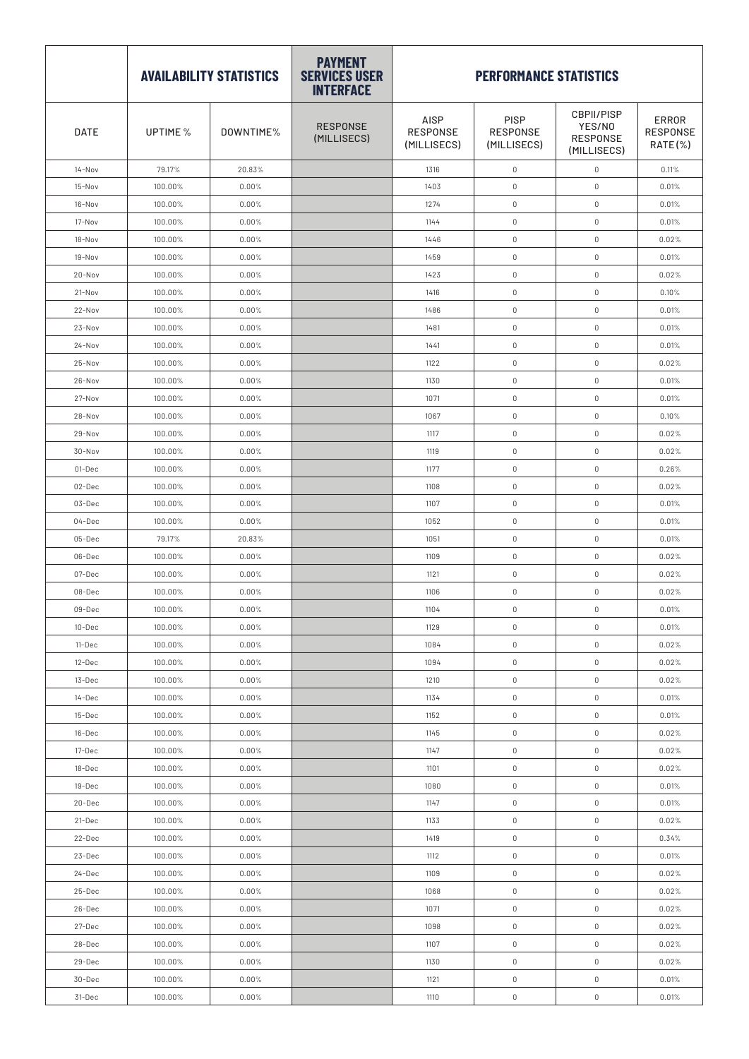|             |          | <b>AVAILABILITY STATISTICS</b> | <b>PAYMENT</b><br><b>SERVICES USER</b><br><b>INTERFACE</b> | <b>PERFORMANCE STATISTICS</b>          |                                        |                                                               |                              |  |
|-------------|----------|--------------------------------|------------------------------------------------------------|----------------------------------------|----------------------------------------|---------------------------------------------------------------|------------------------------|--|
| <b>DATE</b> | UPTIME % | DOWNTIME%                      | <b>RESPONSE</b><br>(MILLISECS)                             | AISP<br><b>RESPONSE</b><br>(MILLISECS) | PISP<br><b>RESPONSE</b><br>(MILLISECS) | <b>CBPII/PISP</b><br>YES/NO<br><b>RESPONSE</b><br>(MILLISECS) | ERROR<br>RESPONSE<br>RATE(%) |  |
| 14-Nov      | 79.17%   | 20.83%                         |                                                            | 1316                                   | $\mathbb O$                            | $\mathbb O$                                                   | 0.11%                        |  |
| 15-Nov      | 100.00%  | 0.00%                          |                                                            | 1403                                   | $\mathbb O$                            | $\mathbb O$                                                   | 0.01%                        |  |
| 16-Nov      | 100.00%  | 0.00%                          |                                                            | 1274                                   | $\mathbb O$                            | $\mathbb O$                                                   | 0.01%                        |  |
| 17-Nov      | 100.00%  | 0.00%                          |                                                            | 1144                                   | $\mathbb O$                            | $\mathbb O$                                                   | 0.01%                        |  |
| 18-Nov      | 100.00%  | 0.00%                          |                                                            | 1446                                   | $\mathbb O$                            | $\mathbb O$                                                   | 0.02%                        |  |
| 19-Nov      | 100.00%  | 0.00%                          |                                                            | 1459                                   | $\mathbb O$                            | $\mathbb O$                                                   | 0.01%                        |  |
| 20-Nov      | 100.00%  | 0.00%                          |                                                            | 1423                                   | $\mathbb O$                            | $\mathbb O$                                                   | 0.02%                        |  |
| $21-Nov$    | 100.00%  | 0.00%                          |                                                            | 1416                                   | $\mathbb O$                            | $\mathbb O$                                                   | 0.10%                        |  |
| 22-Nov      | 100.00%  | 0.00%                          |                                                            | 1486                                   | $\mathbb O$                            | $\mathbb O$                                                   | 0.01%                        |  |
| 23-Nov      | 100.00%  | 0.00%                          |                                                            | 1481                                   | $\mathbb O$                            | $\mathbb O$                                                   | 0.01%                        |  |
| $24 - Nov$  | 100.00%  | 0.00%                          |                                                            | 1441                                   | $\mathbb O$                            | $\mathbb O$                                                   | 0.01%                        |  |
| $25-Nov$    | 100.00%  | 0.00%                          |                                                            | 1122                                   | $\mathbb O$                            | $\mathbb O$                                                   | 0.02%                        |  |
| 26-Nov      | 100.00%  | 0.00%                          |                                                            | 1130                                   | $\mathbb O$                            | $\mathbb O$                                                   | 0.01%                        |  |
| 27-Nov      | 100.00%  | 0.00%                          |                                                            | 1071                                   | $\mathbb O$                            | $\mathbb O$                                                   | 0.01%                        |  |
| $28 - Nov$  | 100.00%  | 0.00%                          |                                                            | 1067                                   | $\mathbb O$                            | $\mathbb O$                                                   | 0.10%                        |  |
| 29-Nov      | 100.00%  | 0.00%                          |                                                            | 1117                                   | $\mathbb O$                            | $\mathbb O$                                                   | 0.02%                        |  |
| 30-Nov      | 100.00%  | 0.00%                          |                                                            | 1119                                   | $\mathbb O$                            | $\mathbb O$                                                   | 0.02%                        |  |
| 01-Dec      | 100.00%  | 0.00%                          |                                                            | 1177                                   | $\mathbb O$                            | $\mathbb O$                                                   | 0.26%                        |  |
| 02-Dec      | 100.00%  | 0.00%                          |                                                            | 1108                                   | $\mathbb O$                            | $\mathbb O$                                                   | 0.02%                        |  |
| 03-Dec      | 100.00%  | 0.00%                          |                                                            | 1107                                   | $\mathbb O$                            | $\mathbb O$                                                   | 0.01%                        |  |
| $04 - Dec$  | 100.00%  | 0.00%                          |                                                            | 1052                                   | $\mathbb O$                            | $\mathbb O$                                                   | 0.01%                        |  |
| 05-Dec      | 79.17%   | 20.83%                         |                                                            | 1051                                   | $\mathbb O$                            | $\mathbb O$                                                   | 0.01%                        |  |
| 06-Dec      | 100.00%  | 0.00%                          |                                                            | 1109                                   | $\mathbb O$                            | $\mathbb O$                                                   | 0.02%                        |  |
| 07-Dec      | 100.00%  | 0.00%                          |                                                            | 1121                                   | $\mathbb O$                            | $\mathbb O$                                                   | 0.02%                        |  |
| 08-Dec      | 100.00%  | 0.00%                          |                                                            | 1106                                   | $\mathbb O$                            | $\mathbb O$                                                   | 0.02%                        |  |
| 09-Dec      | 100.00%  | 0.00%                          |                                                            | 1104                                   | $\mathbb O$                            | 0                                                             | 0.01%                        |  |
| 10-Dec      | 100.00%  | 0.00%                          |                                                            | 1129                                   | $\mathbb O$                            | $\mathbb O$                                                   | 0.01%                        |  |
| 11-Dec      | 100.00%  | 0.00%                          |                                                            | 1084                                   | $\mathbb O$                            | $\mathbb O$                                                   | 0.02%                        |  |
| 12-Dec      | 100.00%  | 0.00%                          |                                                            | 1094                                   | $\mathbb O$                            | $\mathbb O$                                                   | 0.02%                        |  |
| 13-Dec      | 100.00%  | 0.00%                          |                                                            | 1210                                   | $\mathbb O$                            | $\mathbb O$                                                   | 0.02%                        |  |
| 14-Dec      | 100.00%  | 0.00%                          |                                                            | 1134                                   | $\mathbb O$                            | $\mathbb O$                                                   | 0.01%                        |  |
| 15-Dec      | 100.00%  | 0.00%                          |                                                            | 1152                                   | $\mathbb O$                            | $\mathbb O$                                                   | 0.01%                        |  |
| 16-Dec      | 100.00%  | 0.00%                          |                                                            | 1145                                   | $\mathbb O$                            | $\mathbb O$                                                   | 0.02%                        |  |
| 17-Dec      | 100.00%  | 0.00%                          |                                                            | 1147                                   | $\mathbb O$                            | $\mathbb O$                                                   | 0.02%                        |  |
| 18-Dec      | 100.00%  | 0.00%                          |                                                            | 1101                                   | $\mathbb O$                            | $\mathbb O$                                                   | 0.02%                        |  |
| 19-Dec      | 100.00%  | 0.00%                          |                                                            | 1080                                   | $\mathbb O$                            | $\mathbb O$                                                   | 0.01%                        |  |
| 20-Dec      | 100.00%  | 0.00%                          |                                                            | 1147                                   | $\mathbb O$                            | $\mathbb O$                                                   | 0.01%                        |  |
| 21-Dec      | 100.00%  | 0.00%                          |                                                            | 1133                                   | $\mathbb O$                            | $\mathbb O$                                                   | 0.02%                        |  |
| 22-Dec      | 100.00%  | 0.00%                          |                                                            | 1419                                   | $\mathbb O$                            | $\mathbb O$                                                   | 0.34%                        |  |
| 23-Dec      | 100.00%  | 0.00%                          |                                                            | 1112                                   | $\mathbb O$                            | $\mathbb O$                                                   | 0.01%                        |  |
| 24-Dec      | 100.00%  | 0.00%                          |                                                            | 1109                                   | $\mathbb O$                            | $\mathbb O$                                                   | 0.02%                        |  |
| 25-Dec      | 100.00%  | 0.00%                          |                                                            | 1068                                   | $\mathbb O$                            | $\mathbb O$                                                   | 0.02%                        |  |
| 26-Dec      | 100.00%  | 0.00%                          |                                                            | 1071                                   | $\mathbb O$                            | $\mathbb O$                                                   | 0.02%                        |  |
| 27-Dec      | 100.00%  | 0.00%                          |                                                            | 1098                                   | $\mathbb O$                            | $\mathbb O$                                                   | 0.02%                        |  |
| 28-Dec      | 100.00%  | 0.00%                          |                                                            | 1107                                   | $\mathbb O$                            | $\mathbb O$                                                   | 0.02%                        |  |
| 29-Dec      | 100.00%  | 0.00%                          |                                                            | 1130                                   | $\mathbb O$                            | $\mathbb O$                                                   | 0.02%                        |  |
| 30-Dec      | 100.00%  | 0.00%                          |                                                            | 1121                                   | $\mathbb O$                            | $\mathbb O$                                                   | 0.01%                        |  |
| 31-Dec      | 100.00%  | 0.00%                          |                                                            | 1110                                   | $\mathbb O$                            | $\mathbb O$                                                   | 0.01%                        |  |
|             |          |                                |                                                            |                                        |                                        |                                                               |                              |  |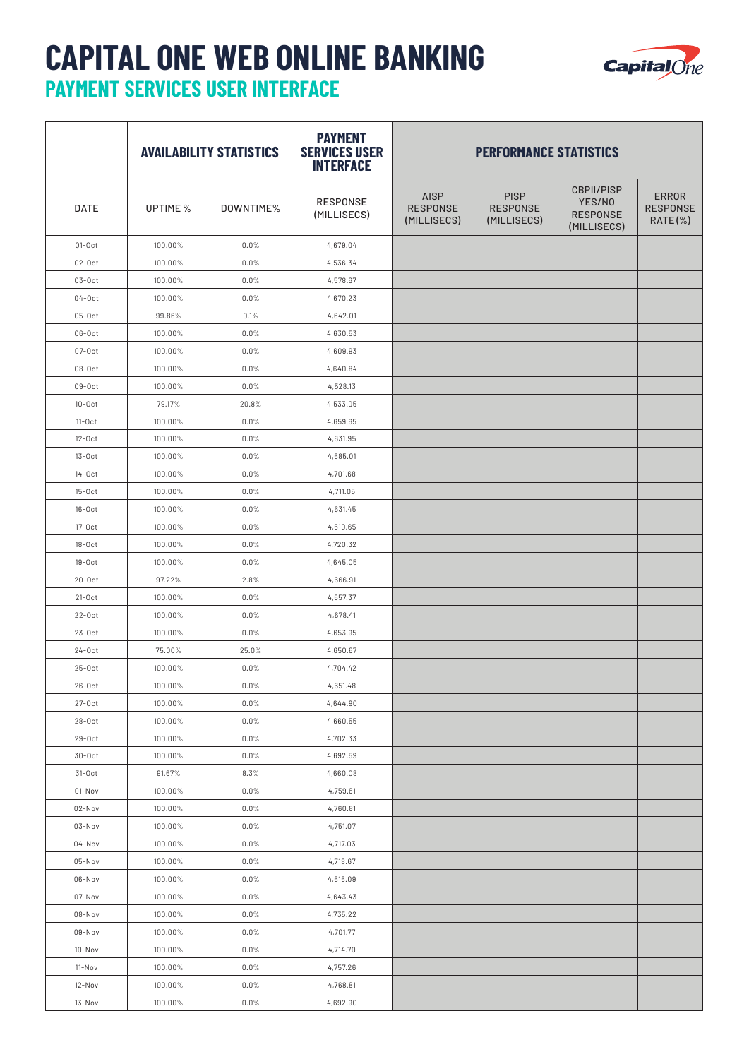## **CAPITAL ONE WEB ONLINE BANKING PAYMENT SERVICES USER INTERFACE**



|             | <b>AVAILABILITY STATISTICS</b> |           | <b>PAYMENT</b><br><b>SERVICES USER</b><br><b>INTERFACE</b> | <b>PERFORMANCE STATISTICS</b>                 |                                               |                                                               |                                               |  |
|-------------|--------------------------------|-----------|------------------------------------------------------------|-----------------------------------------------|-----------------------------------------------|---------------------------------------------------------------|-----------------------------------------------|--|
| <b>DATE</b> | UPTIME %                       | DOWNTIME% | <b>RESPONSE</b><br>(MILLISECS)                             | <b>AISP</b><br><b>RESPONSE</b><br>(MILLISECS) | <b>PISP</b><br><b>RESPONSE</b><br>(MILLISECS) | <b>CBPII/PISP</b><br>YES/NO<br><b>RESPONSE</b><br>(MILLISECS) | <b>ERROR</b><br><b>RESPONSE</b><br>$RATE(\%)$ |  |
| $01-0ct$    | 100.00%                        | 0.0%      | 4,679.04                                                   |                                               |                                               |                                                               |                                               |  |
| $02-0ct$    | 100.00%                        | 0.0%      | 4,536.34                                                   |                                               |                                               |                                                               |                                               |  |
| $03-0ct$    | 100.00%                        | 0.0%      | 4,578.67                                                   |                                               |                                               |                                                               |                                               |  |
| $04-0ct$    | 100.00%                        | 0.0%      | 4,670.23                                                   |                                               |                                               |                                                               |                                               |  |
| $05-0ct$    | 99.86%                         | 0.1%      | 4,642.01                                                   |                                               |                                               |                                                               |                                               |  |
| $06-0ct$    | 100.00%                        | 0.0%      | 4,630.53                                                   |                                               |                                               |                                                               |                                               |  |
| $07-0ct$    | 100.00%                        | 0.0%      | 4,609.93                                                   |                                               |                                               |                                                               |                                               |  |
| $08-0ct$    | 100.00%                        | 0.0%      | 4,640.84                                                   |                                               |                                               |                                                               |                                               |  |
| $09-0ct$    | 100.00%                        | 0.0%      | 4,528.13                                                   |                                               |                                               |                                                               |                                               |  |
| $10-0ct$    | 79.17%                         | 20.8%     | 4,533.05                                                   |                                               |                                               |                                                               |                                               |  |
| $11-0ct$    | 100.00%                        | 0.0%      | 4,659.65                                                   |                                               |                                               |                                                               |                                               |  |
| $12-0ct$    | 100.00%                        | 0.0%      | 4,631.95                                                   |                                               |                                               |                                                               |                                               |  |
| $13-0ct$    | 100.00%                        | 0.0%      | 4,685.01                                                   |                                               |                                               |                                                               |                                               |  |
| $14-0ct$    | 100.00%                        | 0.0%      | 4,701.68                                                   |                                               |                                               |                                                               |                                               |  |
| $15-0ct$    | 100.00%                        | 0.0%      | 4,711.05                                                   |                                               |                                               |                                                               |                                               |  |
| $16-0ct$    | 100.00%                        | 0.0%      | 4,631.45                                                   |                                               |                                               |                                                               |                                               |  |
| $17-0ct$    | 100.00%                        | 0.0%      | 4,610.65                                                   |                                               |                                               |                                                               |                                               |  |
| $18-0ct$    | 100.00%                        | 0.0%      | 4,720.32                                                   |                                               |                                               |                                                               |                                               |  |
| $19-0ct$    | 100.00%                        | 0.0%      | 4,645.05                                                   |                                               |                                               |                                                               |                                               |  |
| $20-0ct$    | 97.22%                         | 2.8%      | 4,666.91                                                   |                                               |                                               |                                                               |                                               |  |
| $21-0ct$    | 100.00%                        | 0.0%      | 4,657.37                                                   |                                               |                                               |                                                               |                                               |  |
| $22-0ct$    | 100.00%                        | 0.0%      | 4,678.41                                                   |                                               |                                               |                                                               |                                               |  |
| $23-0ct$    | 100.00%                        | 0.0%      | 4,653.95                                                   |                                               |                                               |                                                               |                                               |  |
| $24-0ct$    | 75.00%                         | 25.0%     | 4,650.67                                                   |                                               |                                               |                                                               |                                               |  |
| $25-0ct$    | 100.00%                        | 0.0%      | 4,704.42                                                   |                                               |                                               |                                                               |                                               |  |
| $26-0ct$    | 100.00%                        | 0.0%      | 4,651.48                                                   |                                               |                                               |                                                               |                                               |  |
| $27-0ct$    | 100.00%                        | 0.0%      | 4,644.90                                                   |                                               |                                               |                                                               |                                               |  |
| $28-0ct$    | 100.00%                        | 0.0%      | 4,660.55                                                   |                                               |                                               |                                                               |                                               |  |
| $29-0ct$    | 100.00%                        | 0.0%      | 4,702.33                                                   |                                               |                                               |                                                               |                                               |  |
| $30-0ct$    | 100.00%                        | 0.0%      | 4,692.59                                                   |                                               |                                               |                                                               |                                               |  |
| $31-0ct$    | 91.67%                         | 8.3%      | 4,660.08                                                   |                                               |                                               |                                                               |                                               |  |
| 01-Nov      | 100.00%                        | 0.0%      | 4,759.61                                                   |                                               |                                               |                                                               |                                               |  |
| 02-Nov      | 100.00%                        | 0.0%      | 4,760.81                                                   |                                               |                                               |                                                               |                                               |  |
| 03-Nov      | 100.00%                        | $0.0\%$   | 4,751.07                                                   |                                               |                                               |                                                               |                                               |  |
| $04-Nov$    | 100.00%                        | 0.0%      | 4,717.03                                                   |                                               |                                               |                                                               |                                               |  |
| 05-Nov      | 100.00%                        | 0.0%      | 4,718.67                                                   |                                               |                                               |                                                               |                                               |  |
| 06-Nov      | 100.00%                        | 0.0%      | 4,616.09                                                   |                                               |                                               |                                                               |                                               |  |
| 07-Nov      | 100.00%                        | 0.0%      | 4,643.43                                                   |                                               |                                               |                                                               |                                               |  |
| 08-Nov      | 100.00%                        | 0.0%      | 4,735.22                                                   |                                               |                                               |                                                               |                                               |  |
| 09-Nov      | 100.00%                        | 0.0%      | 4,701.77                                                   |                                               |                                               |                                                               |                                               |  |
| $10-Nov$    | 100.00%                        | 0.0%      | 4,714.70                                                   |                                               |                                               |                                                               |                                               |  |
| 11-Nov      | 100.00%                        | 0.0%      | 4,757.26                                                   |                                               |                                               |                                                               |                                               |  |
| 12-Nov      | 100.00%                        | 0.0%      | 4,768.81                                                   |                                               |                                               |                                                               |                                               |  |
| 13-Nov      | 100.00%                        | $0.0\%$   | 4,692.90                                                   |                                               |                                               |                                                               |                                               |  |
|             |                                |           |                                                            |                                               |                                               |                                                               |                                               |  |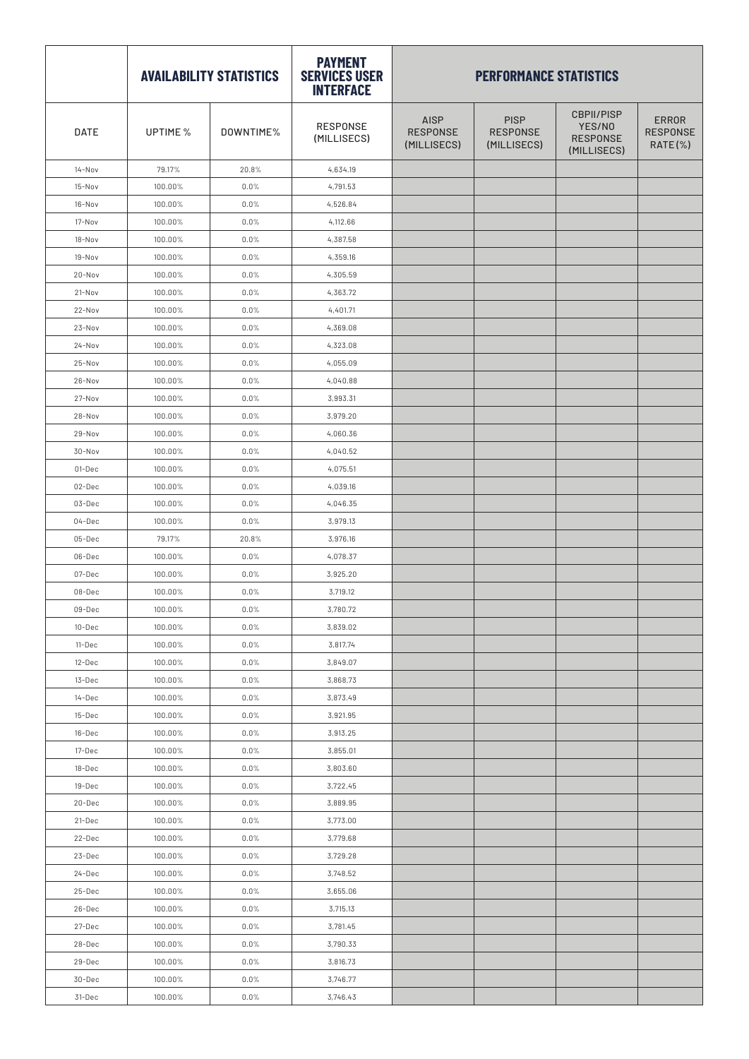|            | <b>AVAILABILITY STATISTICS</b> |           | <b>PAYMENT</b><br><b>SERVICES USER</b><br><b>INTERFACE</b> | <b>PERFORMANCE STATISTICS</b>                 |                                               |                                                               |                                            |
|------------|--------------------------------|-----------|------------------------------------------------------------|-----------------------------------------------|-----------------------------------------------|---------------------------------------------------------------|--------------------------------------------|
| DATE       | UPTIME %                       | DOWNTIME% | <b>RESPONSE</b><br>(MILLISECS)                             | <b>AISP</b><br><b>RESPONSE</b><br>(MILLISECS) | <b>PISP</b><br><b>RESPONSE</b><br>(MILLISECS) | <b>CBPII/PISP</b><br>YES/NO<br><b>RESPONSE</b><br>(MILLISECS) | <b>ERROR</b><br><b>RESPONSE</b><br>RATE(%) |
| $14 - Nov$ | 79.17%                         | 20.8%     | 4,634.19                                                   |                                               |                                               |                                                               |                                            |
| 15-Nov     | 100.00%                        | 0.0%      | 4,791.53                                                   |                                               |                                               |                                                               |                                            |
| 16-Nov     | 100.00%                        | 0.0%      | 4,526.84                                                   |                                               |                                               |                                                               |                                            |
| 17-Nov     | 100.00%                        | 0.0%      | 4,112.66                                                   |                                               |                                               |                                                               |                                            |
| 18-Nov     | 100.00%                        | 0.0%      | 4,387.58                                                   |                                               |                                               |                                                               |                                            |
| 19-Nov     | 100.00%                        | 0.0%      | 4,359.16                                                   |                                               |                                               |                                                               |                                            |
| 20-Nov     | 100.00%                        | 0.0%      | 4,305.59                                                   |                                               |                                               |                                                               |                                            |
| 21-Nov     | 100.00%                        | 0.0%      | 4,363.72                                                   |                                               |                                               |                                                               |                                            |
| 22-Nov     | 100.00%                        | 0.0%      | 4,401.71                                                   |                                               |                                               |                                                               |                                            |
| 23-Nov     | 100.00%                        | 0.0%      | 4,369.08                                                   |                                               |                                               |                                                               |                                            |
| 24-Nov     | 100.00%                        | 0.0%      | 4,323.08                                                   |                                               |                                               |                                                               |                                            |
| 25-Nov     | 100.00%                        | 0.0%      | 4,055.09                                                   |                                               |                                               |                                                               |                                            |
| $26 - Nov$ | 100.00%                        | 0.0%      | 4,040.88                                                   |                                               |                                               |                                                               |                                            |
| 27-Nov     | 100.00%                        | 0.0%      | 3,993.31                                                   |                                               |                                               |                                                               |                                            |
| 28-Nov     | 100.00%                        | 0.0%      | 3,979.20                                                   |                                               |                                               |                                                               |                                            |
| $29-Nov$   | 100.00%                        | 0.0%      | 4,060.36                                                   |                                               |                                               |                                                               |                                            |
| 30-Nov     | 100.00%                        | 0.0%      | 4,040.52                                                   |                                               |                                               |                                                               |                                            |
| 01-Dec     | 100.00%                        | 0.0%      | 4,075.51                                                   |                                               |                                               |                                                               |                                            |
| 02-Dec     | 100.00%                        | 0.0%      | 4,039.16                                                   |                                               |                                               |                                                               |                                            |
| 03-Dec     | 100.00%                        | 0.0%      | 4,046.35                                                   |                                               |                                               |                                                               |                                            |
| 04-Dec     | 100.00%                        | 0.0%      | 3,979.13                                                   |                                               |                                               |                                                               |                                            |
| 05-Dec     | 79.17%                         | 20.8%     | 3,976.16                                                   |                                               |                                               |                                                               |                                            |
| 06-Dec     | 100.00%                        | 0.0%      | 4,078.37                                                   |                                               |                                               |                                                               |                                            |
| 07-Dec     | 100.00%                        | 0.0%      | 3,925.20                                                   |                                               |                                               |                                                               |                                            |
| 08-Dec     | 100.00%                        | 0.0%      | 3,719.12                                                   |                                               |                                               |                                                               |                                            |
| 09-Dec     | 100.00%                        | $0.0\%$   | 3,780.72                                                   |                                               |                                               |                                                               |                                            |
| 10-Dec     | 100.00%                        | 0.0%      | 3,839.02                                                   |                                               |                                               |                                                               |                                            |
| 11-Dec     | 100.00%                        | 0.0%      | 3,817.74                                                   |                                               |                                               |                                                               |                                            |
| 12-Dec     | 100.00%                        | 0.0%      | 3,849.07                                                   |                                               |                                               |                                                               |                                            |
| 13-Dec     | 100.00%                        | 0.0%      | 3,868.73                                                   |                                               |                                               |                                                               |                                            |
| 14-Dec     | 100.00%                        | 0.0%      | 3,873.49                                                   |                                               |                                               |                                                               |                                            |
| 15-Dec     | 100.00%                        | 0.0%      | 3,921.95                                                   |                                               |                                               |                                                               |                                            |
| 16-Dec     | 100.00%                        | 0.0%      | 3,913.25                                                   |                                               |                                               |                                                               |                                            |
| 17-Dec     | 100.00%                        | 0.0%      | 3,855.01                                                   |                                               |                                               |                                                               |                                            |
| 18-Dec     | 100.00%                        | 0.0%      | 3,803.60                                                   |                                               |                                               |                                                               |                                            |
| 19-Dec     | 100.00%                        | $0.0\%$   | 3,722.45                                                   |                                               |                                               |                                                               |                                            |
| 20-Dec     | 100.00%                        | 0.0%      | 3,889.95                                                   |                                               |                                               |                                                               |                                            |
| 21-Dec     | 100.00%                        | 0.0%      | 3,773.00                                                   |                                               |                                               |                                                               |                                            |
| 22-Dec     | 100.00%                        | 0.0%      | 3,779.68                                                   |                                               |                                               |                                                               |                                            |
| 23-Dec     | 100.00%                        | 0.0%      | 3,729.28                                                   |                                               |                                               |                                                               |                                            |
| 24-Dec     | 100.00%                        | 0.0%      | 3,748.52                                                   |                                               |                                               |                                                               |                                            |
| 25-Dec     | 100.00%                        | $0.0\%$   | 3,655.06                                                   |                                               |                                               |                                                               |                                            |
| 26-Dec     | 100.00%                        | 0.0%      | 3,715.13                                                   |                                               |                                               |                                                               |                                            |
| 27-Dec     | 100.00%                        | 0.0%      | 3,781.45                                                   |                                               |                                               |                                                               |                                            |
| 28-Dec     | 100.00%                        | $0.0\%$   | 3,790.33                                                   |                                               |                                               |                                                               |                                            |
| 29-Dec     | 100.00%                        | 0.0%      | 3,816.73                                                   |                                               |                                               |                                                               |                                            |
| 30-Dec     | 100.00%                        | 0.0%      | 3,746.77                                                   |                                               |                                               |                                                               |                                            |
| 31-Dec     | 100.00%                        | $0.0\%$   | 3,746.43                                                   |                                               |                                               |                                                               |                                            |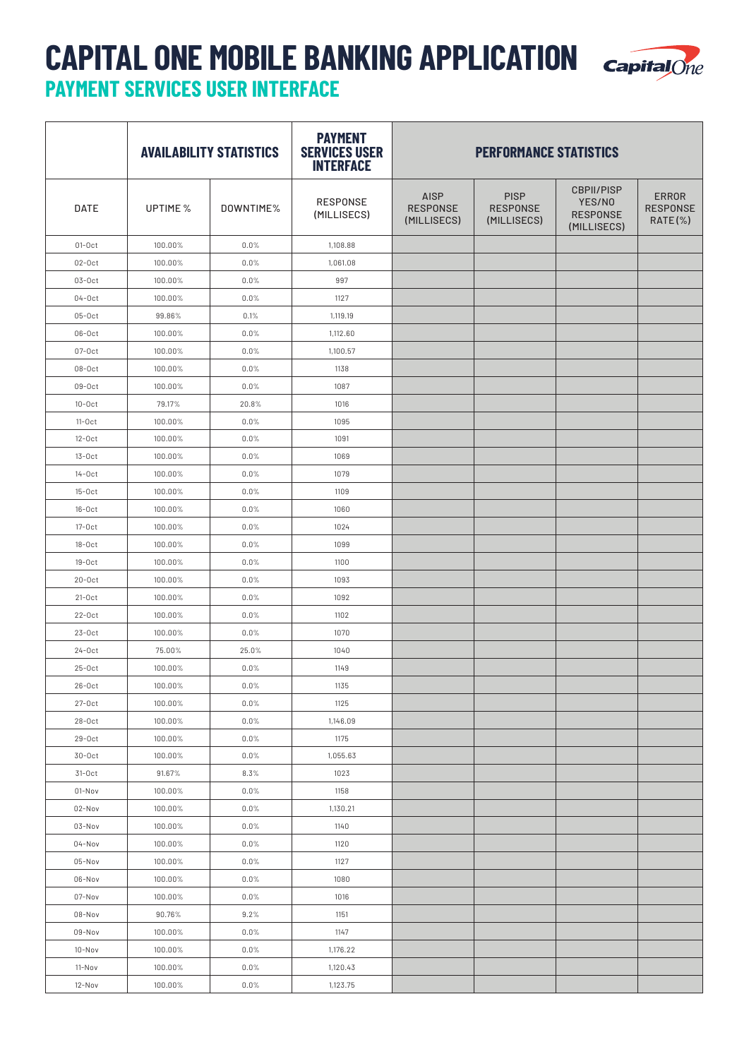## **CAPITAL ONE MOBILE BANKING APPLICATION PAYMENT SERVICES USER INTERFACE**



|             |          | <b>AVAILABILITY STATISTICS</b> | <b>PAYMENT</b><br><b>SERVICES USER</b><br><b>INTERFACE</b> | <b>PERFORMANCE STATISTICS</b>                 |                                               |                                                               |                                               |
|-------------|----------|--------------------------------|------------------------------------------------------------|-----------------------------------------------|-----------------------------------------------|---------------------------------------------------------------|-----------------------------------------------|
| <b>DATE</b> | UPTIME % | DOWNTIME%                      | <b>RESPONSE</b><br>(MILLISECS)                             | <b>AISP</b><br><b>RESPONSE</b><br>(MILLISECS) | <b>PISP</b><br><b>RESPONSE</b><br>(MILLISECS) | <b>CBPII/PISP</b><br>YES/NO<br><b>RESPONSE</b><br>(MILLISECS) | <b>ERROR</b><br><b>RESPONSE</b><br>$RATE(\%)$ |
| $01-0ct$    | 100.00%  | 0.0%                           | 1,108.88                                                   |                                               |                                               |                                                               |                                               |
| $02-0ct$    | 100.00%  | 0.0%                           | 1,061.08                                                   |                                               |                                               |                                                               |                                               |
| $03-0ct$    | 100.00%  | 0.0%                           | 997                                                        |                                               |                                               |                                                               |                                               |
| $04-0ct$    | 100.00%  | 0.0%                           | 1127                                                       |                                               |                                               |                                                               |                                               |
| $05-0ct$    | 99.86%   | 0.1%                           | 1,119.19                                                   |                                               |                                               |                                                               |                                               |
| $06-0ct$    | 100.00%  | 0.0%                           | 1,112.60                                                   |                                               |                                               |                                                               |                                               |
| $07-0ct$    | 100.00%  | 0.0%                           | 1,100.57                                                   |                                               |                                               |                                                               |                                               |
| $08-0ct$    | 100.00%  | 0.0%                           | 1138                                                       |                                               |                                               |                                                               |                                               |
| $09-0ct$    | 100.00%  | 0.0%                           | 1087                                                       |                                               |                                               |                                                               |                                               |
| $10-0ct$    | 79.17%   | 20.8%                          | 1016                                                       |                                               |                                               |                                                               |                                               |
| $11-0ct$    | 100.00%  | 0.0%                           | 1095                                                       |                                               |                                               |                                                               |                                               |
| $12-0ct$    | 100.00%  | 0.0%                           | 1091                                                       |                                               |                                               |                                                               |                                               |
| $13-0ct$    | 100.00%  | 0.0%                           | 1069                                                       |                                               |                                               |                                                               |                                               |
| $14-0ct$    | 100.00%  | 0.0%                           | 1079                                                       |                                               |                                               |                                                               |                                               |
| $15-0ct$    | 100.00%  | 0.0%                           | 1109                                                       |                                               |                                               |                                                               |                                               |
| $16-0ct$    | 100.00%  | 0.0%                           | 1060                                                       |                                               |                                               |                                                               |                                               |
| $17-0ct$    | 100.00%  | 0.0%                           | 1024                                                       |                                               |                                               |                                                               |                                               |
| $18-0ct$    | 100.00%  | 0.0%                           | 1099                                                       |                                               |                                               |                                                               |                                               |
| $19-0ct$    | 100.00%  | 0.0%                           | 1100                                                       |                                               |                                               |                                                               |                                               |
| $20-0ct$    | 100.00%  | 0.0%                           | 1093                                                       |                                               |                                               |                                                               |                                               |
| $21-0ct$    | 100.00%  | 0.0%                           | 1092                                                       |                                               |                                               |                                                               |                                               |
| $22-0ct$    | 100.00%  | 0.0%                           | 1102                                                       |                                               |                                               |                                                               |                                               |
| $23-0ct$    | 100.00%  | 0.0%                           | 1070                                                       |                                               |                                               |                                                               |                                               |
| $24-0ct$    | 75.00%   | 25.0%                          | 1040                                                       |                                               |                                               |                                                               |                                               |
| $25-0ct$    | 100.00%  | 0.0%                           | 1149                                                       |                                               |                                               |                                                               |                                               |
| $26-0ct$    | 100.00%  | 0.0%                           | 1135                                                       |                                               |                                               |                                                               |                                               |
| $27-0ct$    | 100.00%  | 0.0%                           | 1125                                                       |                                               |                                               |                                                               |                                               |
| $28-0ct$    | 100.00%  | 0.0%                           | 1,146.09                                                   |                                               |                                               |                                                               |                                               |
| $29-0ct$    | 100.00%  | $0.0\%$                        | 1175                                                       |                                               |                                               |                                                               |                                               |
| $30-0ct$    | 100.00%  | 0.0%                           | 1,055.63                                                   |                                               |                                               |                                                               |                                               |
| $31-0ct$    | 91.67%   | 8.3%                           | 1023                                                       |                                               |                                               |                                                               |                                               |
| 01-Nov      | 100.00%  | 0.0%                           | 1158                                                       |                                               |                                               |                                                               |                                               |
| 02-Nov      | 100.00%  | 0.0%                           | 1,130.21                                                   |                                               |                                               |                                                               |                                               |
| 03-Nov      | 100.00%  | $0.0\%$                        | 1140                                                       |                                               |                                               |                                                               |                                               |
| $04-Nov$    | 100.00%  | 0.0%                           | 1120                                                       |                                               |                                               |                                                               |                                               |
| 05-Nov      | 100.00%  | 0.0%                           | 1127                                                       |                                               |                                               |                                                               |                                               |
| 06-Nov      | 100.00%  | 0.0%                           | 1080                                                       |                                               |                                               |                                                               |                                               |
| 07-Nov      | 100.00%  | 0.0%                           | 1016                                                       |                                               |                                               |                                                               |                                               |
| 08-Nov      | 90.76%   | 9.2%                           | 1151                                                       |                                               |                                               |                                                               |                                               |
| 09-Nov      | 100.00%  | 0.0%                           | 1147                                                       |                                               |                                               |                                                               |                                               |
| 10-Nov      | 100.00%  | 0.0%                           | 1,176.22                                                   |                                               |                                               |                                                               |                                               |
| 11-Nov      | 100.00%  | 0.0%                           | 1,120.43                                                   |                                               |                                               |                                                               |                                               |
| 12-Nov      | 100.00%  | $0.0\%$                        | 1,123.75                                                   |                                               |                                               |                                                               |                                               |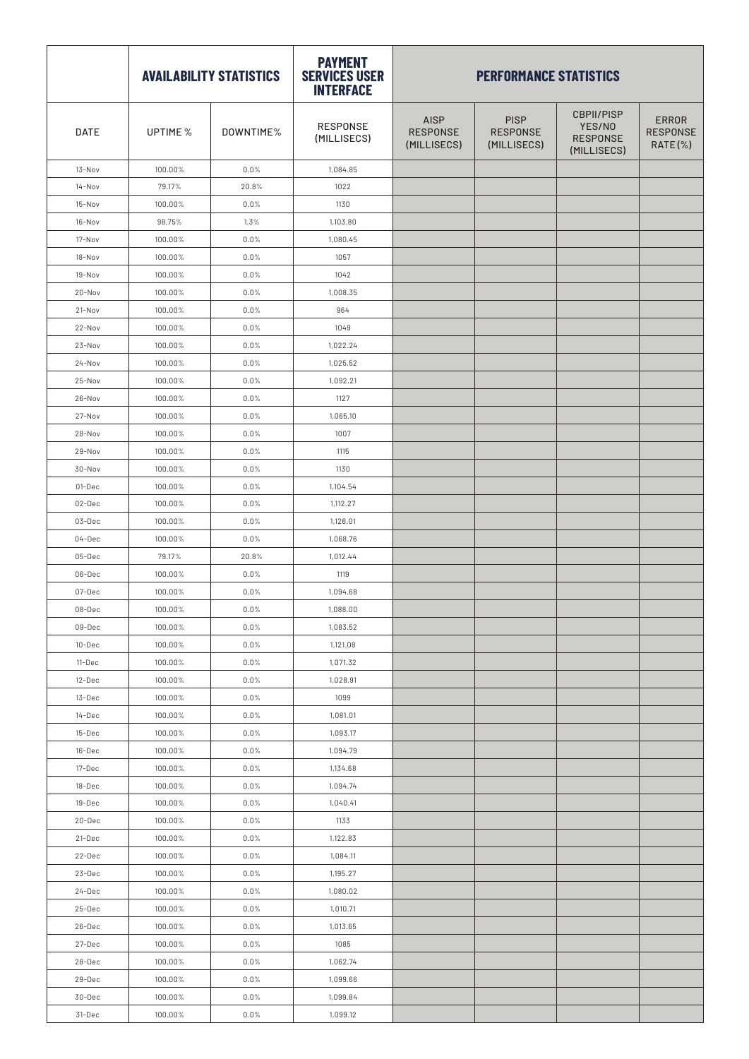|            |          | <b>AVAILABILITY STATISTICS</b> | <b>PAYMENT</b><br><b>SERVICES USER</b><br><b>INTERFACE</b> | <b>PERFORMANCE STATISTICS</b>                 |                                               |                                                               |                                               |  |
|------------|----------|--------------------------------|------------------------------------------------------------|-----------------------------------------------|-----------------------------------------------|---------------------------------------------------------------|-----------------------------------------------|--|
| DATE       | UPTIME % | DOWNTIME%                      | RESPONSE<br>(MILLISECS)                                    | <b>AISP</b><br><b>RESPONSE</b><br>(MILLISECS) | <b>PISP</b><br><b>RESPONSE</b><br>(MILLISECS) | <b>CBPII/PISP</b><br>YES/NO<br><b>RESPONSE</b><br>(MILLISECS) | <b>ERROR</b><br><b>RESPONSE</b><br>$RATE(\%)$ |  |
| 13-Nov     | 100.00%  | 0.0%                           | 1,084.85                                                   |                                               |                                               |                                                               |                                               |  |
| $14-Nov$   | 79.17%   | 20.8%                          | 1022                                                       |                                               |                                               |                                                               |                                               |  |
| 15-Nov     | 100.00%  | 0.0%                           | 1130                                                       |                                               |                                               |                                                               |                                               |  |
| 16-Nov     | 98.75%   | 1.3%                           | 1,103.80                                                   |                                               |                                               |                                                               |                                               |  |
| 17-Nov     | 100.00%  | 0.0%                           | 1,080.45                                                   |                                               |                                               |                                                               |                                               |  |
| 18-Nov     | 100.00%  | 0.0%                           | 1057                                                       |                                               |                                               |                                                               |                                               |  |
| 19-Nov     | 100.00%  | 0.0%                           | 1042                                                       |                                               |                                               |                                                               |                                               |  |
| 20-Nov     | 100.00%  | 0.0%                           | 1,008.35                                                   |                                               |                                               |                                                               |                                               |  |
| 21-Nov     | 100.00%  | 0.0%                           | 964                                                        |                                               |                                               |                                                               |                                               |  |
| 22-Nov     | 100.00%  | 0.0%                           | 1049                                                       |                                               |                                               |                                                               |                                               |  |
| 23-Nov     | 100.00%  | 0.0%                           | 1,022.24                                                   |                                               |                                               |                                                               |                                               |  |
| $24 - Nov$ | 100.00%  | 0.0%                           | 1,025.52                                                   |                                               |                                               |                                                               |                                               |  |
| 25-Nov     | 100.00%  | 0.0%                           | 1,092.21                                                   |                                               |                                               |                                                               |                                               |  |
| 26-Nov     | 100.00%  | 0.0%                           | 1127                                                       |                                               |                                               |                                                               |                                               |  |
| 27-Nov     | 100.00%  | 0.0%                           | 1,065.10                                                   |                                               |                                               |                                                               |                                               |  |
| 28-Nov     | 100.00%  | 0.0%                           | 1007                                                       |                                               |                                               |                                                               |                                               |  |
| 29-Nov     | 100.00%  | 0.0%                           | 1115                                                       |                                               |                                               |                                                               |                                               |  |
| 30-Nov     | 100.00%  | 0.0%                           | 1130                                                       |                                               |                                               |                                                               |                                               |  |
| 01-Dec     | 100.00%  | 0.0%                           | 1,104.54                                                   |                                               |                                               |                                                               |                                               |  |
| 02-Dec     | 100.00%  | 0.0%                           | 1,112.27                                                   |                                               |                                               |                                                               |                                               |  |
| 03-Dec     | 100.00%  | 0.0%                           | 1,126.01                                                   |                                               |                                               |                                                               |                                               |  |
| 04-Dec     | 100.00%  | 0.0%                           | 1,068.76                                                   |                                               |                                               |                                                               |                                               |  |
| 05-Dec     | 79.17%   | 20.8%                          | 1,012.44                                                   |                                               |                                               |                                                               |                                               |  |
| 06-Dec     | 100.00%  | 0.0%                           | 1119                                                       |                                               |                                               |                                                               |                                               |  |
| 07-Dec     | 100.00%  | 0.0%                           | 1,094.68                                                   |                                               |                                               |                                                               |                                               |  |
| 08-Dec     | 100.00%  | $0.0\%$                        | 1,088.00                                                   |                                               |                                               |                                                               |                                               |  |
| 09-Dec     | 100.00%  | 0.0%                           | 1,083.52                                                   |                                               |                                               |                                                               |                                               |  |
| 10-Dec     | 100.00%  | 0.0%                           | 1,121.08                                                   |                                               |                                               |                                                               |                                               |  |
| 11-Dec     | 100.00%  | 0.0%                           | 1,071.32                                                   |                                               |                                               |                                                               |                                               |  |
| 12-Dec     | 100.00%  | 0.0%                           | 1,028.91                                                   |                                               |                                               |                                                               |                                               |  |
| 13-Dec     | 100.00%  | 0.0%                           | 1099                                                       |                                               |                                               |                                                               |                                               |  |
| 14-Dec     | 100.00%  | 0.0%                           | 1,081.01                                                   |                                               |                                               |                                                               |                                               |  |
| 15-Dec     | 100.00%  | 0.0%                           | 1,093.17                                                   |                                               |                                               |                                                               |                                               |  |
| 16-Dec     | 100.00%  | 0.0%                           | 1,094.79                                                   |                                               |                                               |                                                               |                                               |  |
| 17-Dec     | 100.00%  | 0.0%                           | 1,134.68                                                   |                                               |                                               |                                                               |                                               |  |
| 18-Dec     | 100.00%  | 0.0%                           | 1,094.74                                                   |                                               |                                               |                                                               |                                               |  |
| 19-Dec     | 100.00%  | 0.0%                           | 1,040.41                                                   |                                               |                                               |                                                               |                                               |  |
| 20-Dec     | 100.00%  | 0.0%                           | 1133                                                       |                                               |                                               |                                                               |                                               |  |
| 21-Dec     | 100.00%  | 0.0%                           | 1,122.83                                                   |                                               |                                               |                                                               |                                               |  |
| 22-Dec     | 100.00%  | 0.0%                           | 1,084.11                                                   |                                               |                                               |                                                               |                                               |  |
| 23-Dec     | 100.00%  | 0.0%                           | 1,195.27                                                   |                                               |                                               |                                                               |                                               |  |
| 24-Dec     | 100.00%  | 0.0%                           | 1,080.02                                                   |                                               |                                               |                                                               |                                               |  |
| 25-Dec     | 100.00%  | 0.0%                           | 1,010.71                                                   |                                               |                                               |                                                               |                                               |  |
| 26-Dec     | 100.00%  | 0.0%                           | 1,013.65                                                   |                                               |                                               |                                                               |                                               |  |
| 27-Dec     | 100.00%  | 0.0%                           | 1085                                                       |                                               |                                               |                                                               |                                               |  |
| 28-Dec     | 100.00%  | 0.0%                           | 1,062.74                                                   |                                               |                                               |                                                               |                                               |  |
| 29-Dec     | 100.00%  | 0.0%                           | 1,099.66                                                   |                                               |                                               |                                                               |                                               |  |
| 30-Dec     | 100.00%  | 0.0%                           | 1,099.84                                                   |                                               |                                               |                                                               |                                               |  |
| 31-Dec     | 100.00%  | $0.0\%$                        | 1,099.12                                                   |                                               |                                               |                                                               |                                               |  |